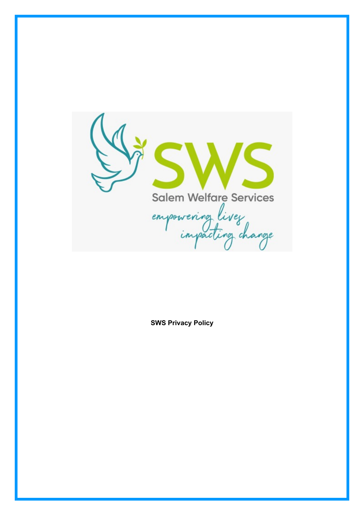

**SWS Privacy Policy**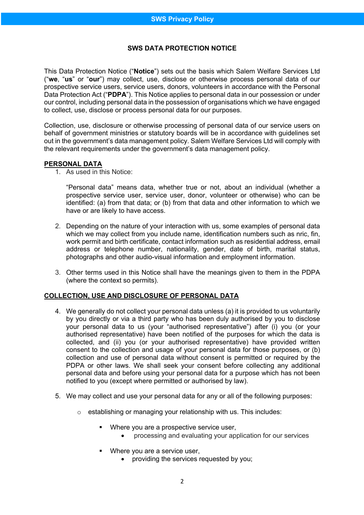# **SWS DATA PROTECTION NOTICE**

This Data Protection Notice ("**Notice**") sets out the basis which Salem Welfare Services Ltd ("**we**, "**us**" or "**our**") may collect, use, disclose or otherwise process personal data of our prospective service users, service users, donors, volunteers in accordance with the Personal Data Protection Act ("**PDPA**"). This Notice applies to personal data in our possession or under our control, including personal data in the possession of organisations which we have engaged to collect, use, disclose or process personal data for our purposes.

Collection, use, disclosure or otherwise processing of personal data of our service users on behalf of government ministries or statutory boards will be in accordance with guidelines set out in the government's data management policy. Salem Welfare Services Ltd will comply with the relevant requirements under the government's data management policy.

### **PERSONAL DATA**

1. As used in this Notice:

"Personal data" means data, whether true or not, about an individual (whether a prospective service user, service user, donor, volunteer or otherwise) who can be identified: (a) from that data; or (b) from that data and other information to which we have or are likely to have access.

- 2. Depending on the nature of your interaction with us, some examples of personal data which we may collect from you include name, identification numbers such as nric, fin, work permit and birth certificate, contact information such as residential address, email address or telephone number, nationality, gender, date of birth, marital status, photographs and other audio-visual information and employment information.
- 3. Other terms used in this Notice shall have the meanings given to them in the PDPA (where the context so permits).

## **COLLECTION, USE AND DISCLOSURE OF PERSONAL DATA**

- 4. We generally do not collect your personal data unless (a) it is provided to us voluntarily by you directly or via a third party who has been duly authorised by you to disclose your personal data to us (your "authorised representative") after (i) you (or your authorised representative) have been notified of the purposes for which the data is collected, and (ii) you (or your authorised representative) have provided written consent to the collection and usage of your personal data for those purposes, or (b) collection and use of personal data without consent is permitted or required by the PDPA or other laws. We shall seek your consent before collecting any additional personal data and before using your personal data for a purpose which has not been notified to you (except where permitted or authorised by law).
- 5. We may collect and use your personal data for any or all of the following purposes:
	- o establishing or managing your relationship with us. This includes:
		- Where you are a prospective service user,
			- processing and evaluating your application for our services
		- Where you are a service user,
			- providing the services requested by you;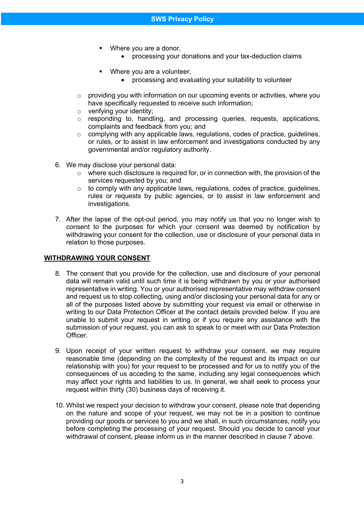- Where you are a donor,
	- processing your donations and your tax-deduction claims
- Where you are a volunteer,
	- processing and evaluating your suitability to volunteer
- $\circ$  providing you with information on our upcoming events or activities, where you have specifically requested to receive such information;
- o verifying your identity;
- o responding to, handling, and processing queries, requests, applications, complaints and feedback from you; and
- $\circ$  complying with any applicable laws, regulations, codes of practice, guidelines, or rules, or to assist in law enforcement and investigations conducted by any governmental and/or regulatory authority.
- 6. We may disclose your personal data:
	- $\circ$  where such disclosure is required for, or in connection with, the provision of the services requested by you; and
	- $\circ$  to comply with any applicable laws, regulations, codes of practice, guidelines, rules or requests by public agencies, or to assist in law enforcement and investigations.
- 7. After the lapse of the opt-out period, you may notify us that you no longer wish to consent to the purposes for which your consent was deemed by notification by withdrawing your consent for the collection, use or disclosure of your personal data in relation to those purposes.

#### **WITHDRAWING YOUR CONSENT**

- 8. The consent that you provide for the collection, use and disclosure of your personal data will remain valid until such time it is being withdrawn by you or your authorised representative in writing. You or your authorised representative may withdraw consent and request us to stop collecting, using and/or disclosing your personal data for any or all of the purposes listed above by submitting your request via email or otherwise in writing to our Data Protection Officer at the contact details provided below. If you are unable to submit your request in writing or if you require any assistance with the submission of your request, you can ask to speak to or meet with our Data Protection Officer.
- 9. Upon receipt of your written request to withdraw your consent, we may require reasonable time (depending on the complexity of the request and its impact on our relationship with you) for your request to be processed and for us to notify you of the consequences of us acceding to the same, including any legal consequences which may affect your rights and liabilities to us. In general, we shall seek to process your request within thirty (30) business days of receiving it.
- 10. Whilst we respect your decision to withdraw your consent, please note that depending on the nature and scope of your request, we may not be in a position to continue providing our goods or services to you and we shall, in such circumstances, notify you before completing the processing of your request. Should you decide to cancel your withdrawal of consent, please inform us in the manner described in clause 7 above.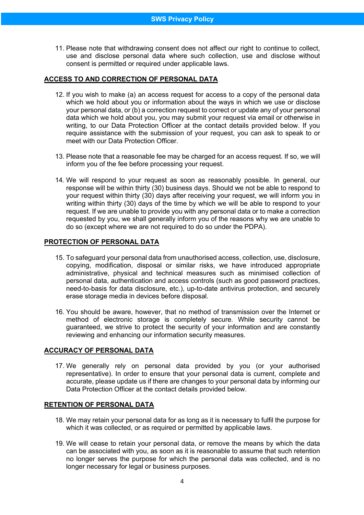11. Please note that withdrawing consent does not affect our right to continue to collect, use and disclose personal data where such collection, use and disclose without consent is permitted or required under applicable laws.

## **ACCESS TO AND CORRECTION OF PERSONAL DATA**

- 12. If you wish to make (a) an access request for access to a copy of the personal data which we hold about you or information about the ways in which we use or disclose your personal data, or (b) a correction request to correct or update any of your personal data which we hold about you, you may submit your request via email or otherwise in writing, to our Data Protection Officer at the contact details provided below. If you require assistance with the submission of your request, you can ask to speak to or meet with our Data Protection Officer.
- 13. Please note that a reasonable fee may be charged for an access request. If so, we will inform you of the fee before processing your request.
- 14. We will respond to your request as soon as reasonably possible. In general, our response will be within thirty (30) business days. Should we not be able to respond to your request within thirty (30) days after receiving your request, we will inform you in writing within thirty (30) days of the time by which we will be able to respond to your request. If we are unable to provide you with any personal data or to make a correction requested by you, we shall generally inform you of the reasons why we are unable to do so (except where we are not required to do so under the PDPA).

### **PROTECTION OF PERSONAL DATA**

- 15. To safeguard your personal data from unauthorised access, collection, use, disclosure, copying, modification, disposal or similar risks, we have introduced appropriate administrative, physical and technical measures such as minimised collection of personal data, authentication and access controls (such as good password practices, need-to-basis for data disclosure, etc.), up-to-date antivirus protection, and securely erase storage media in devices before disposal.
- 16. You should be aware, however, that no method of transmission over the Internet or method of electronic storage is completely secure. While security cannot be guaranteed, we strive to protect the security of your information and are constantly reviewing and enhancing our information security measures.

## **ACCURACY OF PERSONAL DATA**

17. We generally rely on personal data provided by you (or your authorised representative). In order to ensure that your personal data is current, complete and accurate, please update us if there are changes to your personal data by informing our Data Protection Officer at the contact details provided below.

## **RETENTION OF PERSONAL DATA**

- 18. We may retain your personal data for as long as it is necessary to fulfil the purpose for which it was collected, or as required or permitted by applicable laws.
- 19. We will cease to retain your personal data, or remove the means by which the data can be associated with you, as soon as it is reasonable to assume that such retention no longer serves the purpose for which the personal data was collected, and is no longer necessary for legal or business purposes.